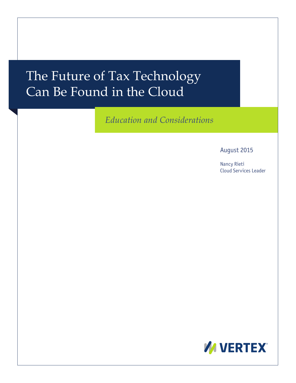# The Future of Tax Technology Can Be Found in the Cloud

*Education and Considerations* 

August 2015

Nancy Rieti Cloud Services Leader

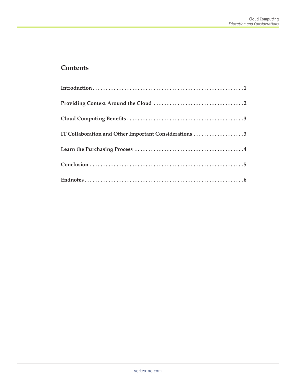#### **Contents**

| IT Collaboration and Other Important Considerations 3 |
|-------------------------------------------------------|
|                                                       |
|                                                       |
|                                                       |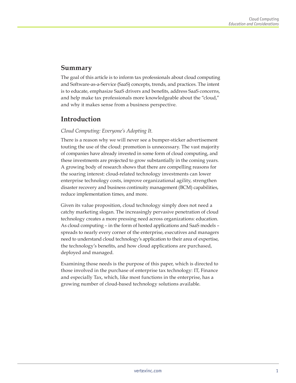#### **Summary**

The goal of this article is to inform tax professionals about cloud computing and Software-as-a-Service (SaaS) concepts, trends, and practices. The intent is to educate, emphasize SaaS drivers and benefits, address SaaS concerns, and help make tax professionals more knowledgeable about the "cloud," and why it makes sense from a business perspective.

#### **Introduction**

#### *Cloud Computing: Everyone's Adopting It.*

There is a reason why we will never see a bumper-sticker advertisement touting the use of the cloud: promotion is unnecessary. The vast majority of companies have already invested in some form of cloud computing, and these investments are projected to grow substantially in the coming years. A growing body of research shows that there are compelling reasons for the soaring interest: cloud-related technology investments can lower enterprise technology costs, improve organizational agility, strengthen disaster recovery and business continuity management (BCM) capabilities, reduce implementation times, and more.

Given its value proposition, cloud technology simply does not need a catchy marketing slogan. The increasingly pervasive penetration of cloud technology creates a more pressing need across organizations: education. As cloud computing – in the form of hosted applications and SaaS models – spreads to nearly every corner of the enterprise, executives and managers need to understand cloud technology's application to their area of expertise, the technology's benefits, and how cloud applications are purchased, deployed and managed.

Examining those needs is the purpose of this paper, which is directed to those involved in the purchase of enterprise tax technology: IT, Finance and especially Tax, which, like most functions in the enterprise, has a growing number of cloud-based technology solutions available.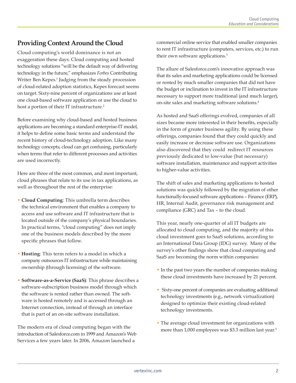## **Providing Context Around the Cloud**

Cloud computing's world dominance is not an exaggeration these days. Cloud computing and hosted technology solutions "will be the default way of delivering technology in the future," emphasizes *Forbes* Contributing Writer Ben Kepes.<sup>1</sup> Judging from the steady procession of cloud-related adoption statistics, Kepes forecast seems on target. Sixty-nine percent of organizations use at least one cloud-based software application or use the cloud to host a portion of their IT infrastructure.<sup>2</sup>

Before examining why cloud-based and hosted business applications are becoming a standard enterprise-IT model, it helps to define some basic terms and understand the recent history of cloud-technology adoption. Like many technology concepts, cloud can get confusing, particularly when terms that refer to different processes and activities are used incorrectly.

Here are three of the most common, and most important, cloud phrases that relate to its use in tax applications, as well as throughout the rest of the enterprise:

- **Cloud Computing**: This umbrella term describes the technical environment that enables a company to access and use software and IT infrastructure that is located outside of the company's physical boundaries. In practical terms, "cloud computing" does not imply one of the business models described by the more specific phrases that follow.
- **Hosting**: This term refers to a model in which a company outsources IT infrastructure while maintaining ownership (through licensing) of the software.
- **Software-as-a-Service (SaaS)**: This phrase describes a software-subscription business model through which the software is rented rather than owned. The software is hosted remotely and is accessed through an Internet connection, instead of through an interface that is part of an on-site software installation.

The modern era of cloud computing began with the introduction of Salesforce.com in 1999 and Amazon's Web Services a few years later. In 2006, Amazon launched a

commercial online service that enabled smaller companies to rent IT infrastructure (computers, services, etc.) to run their own software applications.<sup>3</sup>

The allure of Salesforce.com's innovative approach was that its sales and marketing applications could be licensed or rented by much smaller companies that did not have the budget or inclination to invest in the IT infrastructure necessary to support more traditional (and much larger), on-site sales and marketing software solutions.4

As hosted and SaaS offerings evolved, companies of all sizes became more interested in their benefits, especially in the form of greater business agility. By using these offerings, companies found that they could quickly and easily increase or decrease software use. Organizations also discovered that they could redirect IT resources previously dedicated to low-value (but necessary) software installation, maintenance and support activities to higher-value activities.

The shift of sales and marketing applications to hosted solutions was quickly followed by the migration of other functionally-focused software applications – Finance (ERP), HR, Internal Audit, governance risk management and compliance (GRC) and Tax – to the cloud.

This year, nearly one-quarter of all IT budgets are allocated to cloud computing, and the majority of this cloud investment goes to SaaS solutions, according to an International Data Group (IDG) survey. Many of the survey's other findings show that cloud computing and SaaS are becoming the norm within companies:

- In the past two years the number of companies making these cloud investments have increased by 21 percent.
- Sixty-one percent of companies are evaluating additional technology investments (e.g., network virtualization) designed to optimize their existing cloud-related technology investments.
- The average cloud investment for organizations with more than 1,000 employees was \$3.3 million last year.<sup>5</sup>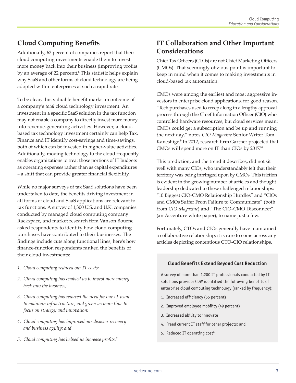# **Cloud Computing Benefits**

Additionally, 62 percent of companies report that their cloud computing investments enable them to invest more money back into their business (improving profits by an average of 22 percent).<sup>6</sup> This statistic helps explain why SaaS and other forms of cloud technology are being adopted within enterprises at such a rapid rate.

To be clear, this valuable benefit marks an outcome of a company's *total* cloud technology investment. An investment in a specific SaaS solution in the tax function may not enable a company to directly invest more money into revenue-generating activities. However, a cloudbased tax technology investment certainly can help Tax, Finance and IT identify cost-savings and time-savings, both of which can be invested in higher-value activities. Additionally, moving technology to the cloud frequently enables organizations to treat those portions of IT budgets as operating expenses rather than as capital expenditures – a shift that can provide greater financial flexibility.

While no major surveys of tax SaaS solutions have been undertaken to date, the benefits driving investment in all forms of cloud and SaaS applications are relevant to tax functions. A survey of 1,300 U.S. and U.K. companies conducted by managed cloud computing company Rackspace, and market research firm Vanson Bourne asked respondents to identify how cloud computing purchases have contributed to their businesses. The findings include cuts along functional lines; here's how finance-function respondents ranked the benefits of their cloud investments:

- *1. Cloud computing reduced our IT costs;*
- *2. Cloud computing has enabled us to invest more money back into the business;*
- *3. Cloud computing has reduced the need for our IT team to maintain infrastructure, and given us more time to focus on strategy and innovation;*
- *4. Cloud computing has improved our disaster recovery and business agility; and*
- *5. Cloud computing has helped us increase profits.<sup>7</sup>*

# **IT Collaboration and Other Important Considerations**

Chief Tax Officers (CTOs) are not Chief Marketing Officers (CMOs). That seemingly obvious point is important to keep in mind when it comes to making investments in cloud-based tax automation.

CMOs were among the earliest and most aggressive investors in enterprise cloud applications, for good reason. "Tech purchases used to creep along in a lengthy approval process through the Chief Information Officer (CIO) who controlled hardware resources, but cloud services meant CMOs could get a subscription and be up and running the next day," notes *CIO Magazine* Senior Writer Tom Kaneshige.9 In 2012, research firm Gartner projected that CMOs will spend more on IT than CIOs by 2017.<sup>10</sup>

This prediction, and the trend it describes, did not sit well with many CIOs, who understandably felt that their territory was being infringed upon by CMOs. This friction is evident in the growing number of articles and thought leadership dedicated to these challenged relationships: "10 Biggest CIO-CMO Relationship Hurdles" and "CIOs and CMOs Suffer From Failure to Communicate" (both from *CIO Magazine*) and "The CIO-CMO Disconnect" (an Accenture white paper), to name just a few.

Fortunately, CTOs and CIOs generally have maintained a collaborative relationship; it is rare to come across any articles depicting contentious CTO-CIO relationships.

#### **Cloud Benefits Extend Beyond Cost Reduction**

A survey of more than 1,200 IT professionals conducted by IT solutions provider CDW identified the following benefits of enterprise cloud computing technology (ranked by frequency):

- 1. Increased efficiency (55 percent)
- 2. Improved employee mobility (49 percent)
- 3. Increased ability to innovate
- 4. Freed current IT staff for other projects; and
- 5. Reduced IT operating cost<sup>8</sup>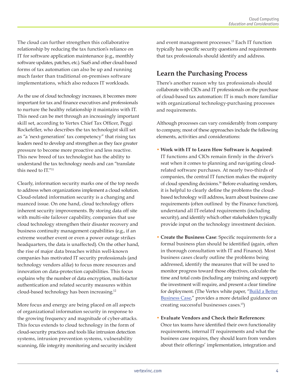The cloud can further strengthen this collaborative relationship by reducing the tax function's reliance on IT for software application maintenance (e.g., monthly software updates, patches, etc.). SaaS and other cloud-based forms of tax automation can also be up and running much faster than traditional on-premises software implementations, which also reduces IT workloads.

As the use of cloud technology increases, it becomes more important for tax and finance executives and professionals to nurture the healthy relationship it maintains with IT. This need can be met through an increasingly important skill set, according to Vertex Chief Tax Officer, Peggi Rockefeller, who describes the tax technologist skill set as "a 'next-generation' tax competency" that rising tax leaders need to develop and strengthen as they face greater pressure to become more proactive and less reactive. This new breed of tax technologist has the ability to understand the tax technology needs and can "translate this need to IT."11

Clearly, information security marks one of the top needs to address when organizations implement a cloud solution. Cloud-related information security is a changing and nuanced issue. On one hand, cloud technology offers inherent security improvements. By storing data off site with multi-site failover capability, companies that use cloud technology strengthen their disaster recovery and business continuity management capabilities (e.g., if an extreme weather event or even a power outage strikes headquarters, the data is unaffected). On the other hand, the rise of major data breaches within well-known companies has motivated IT security professionals (and technology vendors alike) to focus more resources and innovation on data-protection capabilities. This focus explains why the number of data encryption, multi-factor authentication and related security measures within cloud-based technology has been increasing.12

More focus and energy are being placed on all aspects of organizational information security in response to the growing frequency and magnitude of cyber-attacks. This focus extends to cloud technology in the form of cloud-security practices and tools like intrusion detection systems, intrusion prevention systems, vulnerability scanning, file integrity monitoring and security incident

and event management processes.<sup>13</sup> Each IT function typically has specific security questions and requirements that tax professionals should identify and address.

# **Learn the Purchasing Process**

There's another reason why tax professionals should collaborate with CIOs and IT professionals on the purchase of cloud-based tax automation: IT is much more familiar with organizational technology-purchasing processes and requirements.

Although processes can vary considerably from company to company, most of these approaches include the following elements, activities and considerations:

- **Work with IT to Learn How Software is Acquired**: IT functions and CIOs remain firmly in the driver's seat when it comes to planning and navigating cloudrelated software purchases. At nearly two-thirds of companies, the central IT function makes the majority of cloud spending decisions.14 Before evaluating vendors, it is helpful to clearly define the problems the cloudbased technology will address, learn about business case requirements (often outlined by the Finance function), understand all IT-related requirements (including security), and identify which other stakeholders typically provide input on the technology investment decision.
- **Create the Business Case**: Specific requirements for a formal business plan should be identified (again, often in thorough consultation with IT and Finance). Most business cases clearly outline the problems being addressed, identify the measures that will be used to monitor progress toward those objectives, calculate the time and total costs (including any training and support) the investment will require, and present a clear timeline for deployment. (The Vertex white paper, "Build a Better [Business Case](http://www.vertexinc.com/sites/default/files/vertex_roi_webcast_whitepaper_20150105.pdf)," provides a more detailed guidance on creating successful businesses cases.15)
- **Evaluate Vendors and Check their References**: Once tax teams have identified their own functionality requirements, internal IT requirements and what the business case requires, they should learn from vendors about their offerings' implementation, integration and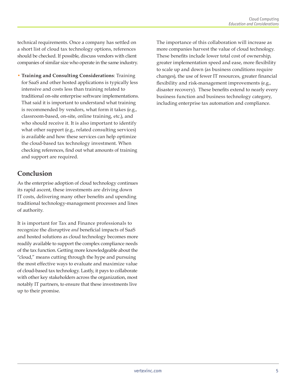technical requirements. Once a company has settled on a short list of cloud tax technology options, references should be checked. If possible, discuss vendors with client companies of similar size who operate in the same industry.

• **Training and Consulting Considerations**: Training for SaaS and other hosted applications is typically less intensive and costs less than training related to traditional on-site enterprise software implementations. That said it is important to understand what training is recommended by vendors, what form it takes (e.g., classroom-based, on-site, online training, etc.), and who should receive it. It is also important to identify what other support (e.g., related consulting services) is available and how these services can help optimize the cloud-based tax technology investment. When checking references, find out what amounts of training and support are required.

## **Conclusion**

As the enterprise adoption of cloud technology continues its rapid ascent, these investments are driving down IT costs, delivering many other benefits and upending traditional technology-management processes and lines of authority.

It is important for Tax and Finance professionals to recognize the disruptive *and* beneficial impacts of SaaS and hosted solutions as cloud technology becomes more readily available to support the complex compliance needs of the tax function. Getting more knowledgeable about the "cloud," means cutting through the hype and pursuing the most effective ways to evaluate and maximize value of cloud-based tax technology. Lastly, it pays to collaborate with other key stakeholders across the organization, most notably IT partners, to ensure that these investments live up to their promise.

The importance of this collaboration will increase as more companies harvest the value of cloud technology. These benefits include lower total cost of ownership, greater implementation speed and ease, more flexibility to scale up and down (as business conditions require changes), the use of fewer IT resources, greater financial flexibility and risk-management improvements (e.g., disaster recovery). These benefits extend to nearly every business function and business technology category, including enterprise tax automation and compliance.